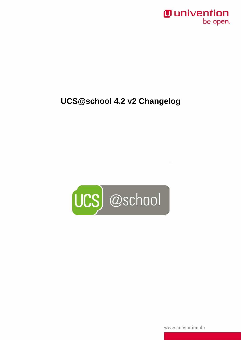## *Ounivention* be open.

## **UCS@school 4.2 v2 Changelog**



www.univention.de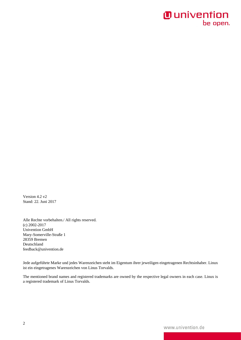## **O** univention be open.

Version 4.2 v2 Stand: 22. Juni 2017

Alle Rechte vorbehalten./ All rights reserved. (c) 2002-2017 Univention GmbH Mary-Somerville-Straße 1 28359 Bremen Deutschland feedback@univention.de

Jede aufgeführte Marke und jedes Warenzeichen steht im Eigentum ihrer jeweiligen eingetragenen Rechtsinhaber. Linux ist ein eingetragenes Warenzeichen von Linus Torvalds.

The mentioned brand names and registered trademarks are owned by the respective legal owners in each case. Linux is a registered trademark of Linus Torvalds.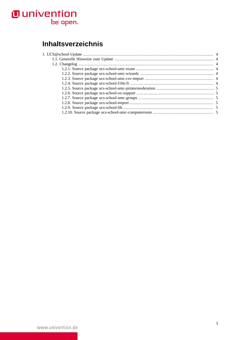# **O** univention<br>be open.

## **Inhaltsverzeichnis**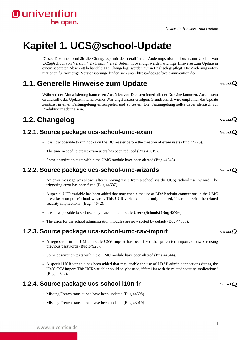#### *Generelle Hinweise zum Update*

## <span id="page-3-0"></span>**Kapitel 1. UCS@school-Update**

Dieses Dokument enthält die Changelogs mit den detaillierten Änderungsinformationen zum Update von UCS@school von Version 4.2 v1 nach 4.2 v2. Sofern notwendig, werden wichtige Hinweise zum Update in einem separaten Abschnitt behandelt. Die Changelogs werden nur in Englisch gepflegt. Die Änderungsinformationen für vorherige Versionssprünge finden sich unter [https://docs.software-univention.de/.](https://docs.software-univention.de/)

### <span id="page-3-1"></span>**1.1. Generelle Hinweise zum Update**

Während der Aktualisierung kann es zu Ausfällen von Diensten innerhalb der Domäne kommen. Aus diesem Grund sollte das Update innerhalb eines Wartungsfensters erfolgen. Grundsätzlich wird empfohlen das Update zunächst in einer Testumgebung einzuspielen und zu testen. Die Testumgebung sollte dabei identisch zur Produktivumgebung sein.

## <span id="page-3-2"></span>**1.2. Changelog**

**O** univention

be open.

#### <span id="page-3-3"></span>**1.2.1. Source package ucs-school-umc-exam**

- It is now possible to run hooks on the DC master before the creation of exam users ([Bug 44225\)](https://forge.univention.org/bugzilla/show_bug.cgi?id=44225).
- The time needed to create exam users has been reduced [\(Bug 43019\)](https://forge.univention.org/bugzilla/show_bug.cgi?id=43019).
- Some description texts within the UMC module have been altered ([Bug 44543\)](https://forge.univention.org/bugzilla/show_bug.cgi?id=44543).

#### <span id="page-3-4"></span>**1.2.2. Source package ucs-school-umc-wizards**

- An error message was shown after removing users from a school via the UCS@school user wizard. The triggering error has been fixed [\(Bug 44537](https://forge.univention.org/bugzilla/show_bug.cgi?id=44537)).
- A special UCR variable has been added that may enable the use of LDAP admin connections in the UMC user/class/computer/school wizards. This UCR variable should only be used, if familiar with the related security implications! [\(Bug 44642\)](https://forge.univention.org/bugzilla/show_bug.cgi?id=44642).
- It is now possible to sort users by class in the module **Users (Schools)** [\(Bug 42756\)](https://forge.univention.org/bugzilla/show_bug.cgi?id=42756).
- The grids for the school administration modules are now sorted by default ([Bug 44663](https://forge.univention.org/bugzilla/show_bug.cgi?id=44663)).

#### <span id="page-3-5"></span>**1.2.3. Source package ucs-school-umc-csv-import**

- A regression in the UMC module **CSV import** has been fixed that prevented imports of users reusing previous passwords [\(Bug 34923](https://forge.univention.org/bugzilla/show_bug.cgi?id=34923)).
- Some description texts within the UMC module have been altered ([Bug 44544\)](https://forge.univention.org/bugzilla/show_bug.cgi?id=44544).
- A special UCR variable has been added that may enable the use of LDAP admin connections during the UMC CSV import. This UCR variable should only be used, if familiar with the related security implications! [\(Bug 44642](https://forge.univention.org/bugzilla/show_bug.cgi?id=44642)).

#### <span id="page-3-6"></span>**1.2.4. Source package ucs-school-l10n-fr**

- Missing French translations have been updated ([Bug 44698\)](https://forge.univention.org/bugzilla/show_bug.cgi?id=44698)
- Missing French translations have been updated ([Bug 43019\)](https://forge.univention.org/bugzilla/show_bug.cgi?id=43019)

Feedback $\Omega$ 

Feedback $\Omega$ 

Feedback $\mathcal Q$ 

Feedback $\bigcirc$ 

Feedback $\mathbf{\Omega}$ 

Feedback $\Omega$